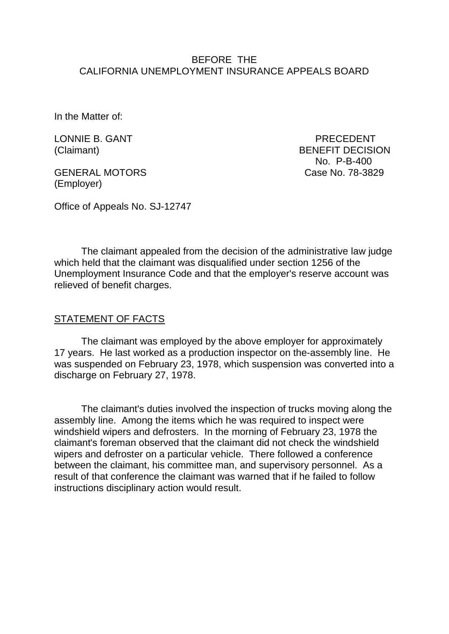### BEFORE THE CALIFORNIA UNEMPLOYMENT INSURANCE APPEALS BOARD

In the Matter of:

LONNIE B. GANT PRECEDENT

GENERAL MOTORS Case No. 78-3829 (Employer)

(Claimant) BENEFIT DECISION No. P-B-400

Office of Appeals No. SJ-12747

The claimant appealed from the decision of the administrative law judge which held that the claimant was disqualified under section 1256 of the Unemployment Insurance Code and that the employer's reserve account was relieved of benefit charges.

#### STATEMENT OF FACTS

The claimant was employed by the above employer for approximately 17 years. He last worked as a production inspector on the-assembly line. He was suspended on February 23, 1978, which suspension was converted into a discharge on February 27, 1978.

The claimant's duties involved the inspection of trucks moving along the assembly line. Among the items which he was required to inspect were windshield wipers and defrosters. In the morning of February 23, 1978 the claimant's foreman observed that the claimant did not check the windshield wipers and defroster on a particular vehicle. There followed a conference between the claimant, his committee man, and supervisory personnel. As a result of that conference the claimant was warned that if he failed to follow instructions disciplinary action would result.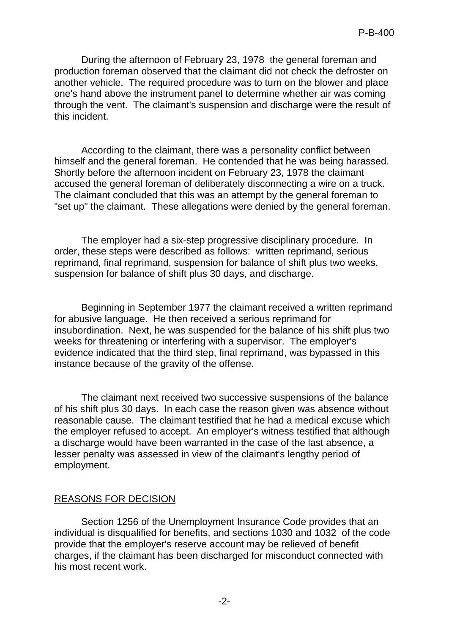During the afternoon of February 23, 1978 the general foreman and production foreman observed that the claimant did not check the defroster on another vehicle. The required procedure was to turn on the blower and place one's hand above the instrument panel to determine whether air was coming through the vent. The claimant's suspension and discharge were the result of this incident.

According to the claimant, there was a personality conflict between himself and the general foreman. He contended that he was being harassed. Shortly before the afternoon incident on February 23, 1978 the claimant accused the general foreman of deliberately disconnecting a wire on a truck. The claimant concluded that this was an attempt by the general foreman to "set up" the claimant. These allegations were denied by the general foreman.

The employer had a six-step progressive disciplinary procedure. In order, these steps were described as follows: written reprimand, serious reprimand, final reprimand, suspension for balance of shift plus two weeks, suspension for balance of shift plus 30 days, and discharge.

Beginning in September 1977 the claimant received a written reprimand for abusive language. He then received a serious reprimand for insubordination. Next, he was suspended for the balance of his shift plus two weeks for threatening or interfering with a supervisor. The employer's evidence indicated that the third step, final reprimand, was bypassed in this instance because of the gravity of the offense.

The claimant next received two successive suspensions of the balance of his shift plus 30 days. In each case the reason given was absence without reasonable cause. The claimant testified that he had a medical excuse which the employer refused to accept. An employer's witness testified that although a discharge would have been warranted in the case of the last absence, a lesser penalty was assessed in view of the claimant's lengthy period of employment.

# REASONS FOR DECISION

Section 1256 of the Unemployment Insurance Code provides that an individual is disqualified for benefits, and sections 1030 and 1032 of the code provide that the employer's reserve account may be relieved of benefit charges, if the claimant has been discharged for misconduct connected with his most recent work.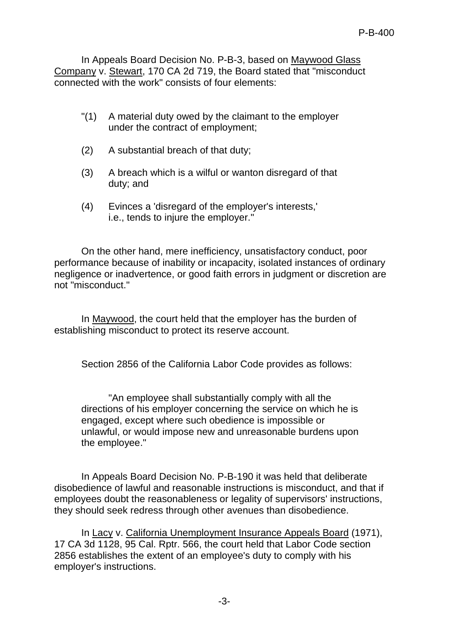In Appeals Board Decision No. P-B-3, based on Maywood Glass Company v. Stewart, 170 CA 2d 719, the Board stated that "misconduct connected with the work" consists of four elements:

- "(1) A material duty owed by the claimant to the employer under the contract of employment;
- (2) A substantial breach of that duty;
- (3) A breach which is a wilful or wanton disregard of that duty; and
- (4) Evinces a 'disregard of the employer's interests,' i.e., tends to injure the employer."

On the other hand, mere inefficiency, unsatisfactory conduct, poor performance because of inability or incapacity, isolated instances of ordinary negligence or inadvertence, or good faith errors in judgment or discretion are not "misconduct."

In Maywood, the court held that the employer has the burden of establishing misconduct to protect its reserve account.

Section 2856 of the California Labor Code provides as follows:

"An employee shall substantially comply with all the directions of his employer concerning the service on which he is engaged, except where such obedience is impossible or unlawful, or would impose new and unreasonable burdens upon the employee."

In Appeals Board Decision No. P-B-190 it was held that deliberate disobedience of lawful and reasonable instructions is misconduct, and that if employees doubt the reasonableness or legality of supervisors' instructions, they should seek redress through other avenues than disobedience.

In Lacy v. California Unemployment Insurance Appeals Board (1971), 17 CA 3d 1128, 95 Cal. Rptr. 566, the court held that Labor Code section 2856 establishes the extent of an employee's duty to comply with his employer's instructions.